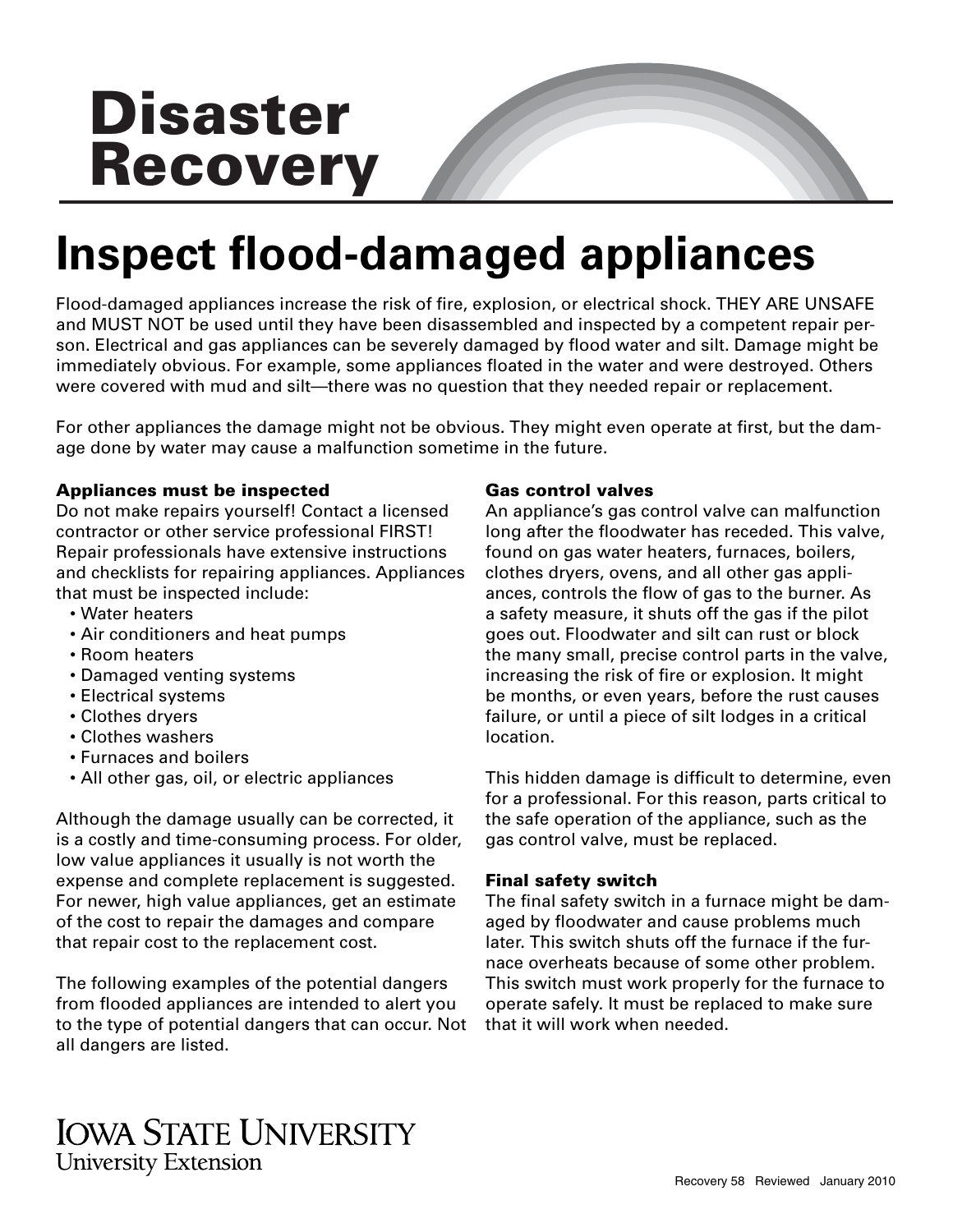# **Disaster Recovery**

## **Inspect fl ood-damaged appliances**

Flood-damaged appliances increase the risk of fire, explosion, or electrical shock. THEY ARE UNSAFE and MUST NOT be used until they have been disassembled and inspected by a competent repair person. Electrical and gas appliances can be severely damaged by flood water and silt. Damage might be immediately obvious. For example, some appliances floated in the water and were destroyed. Others were covered with mud and silt—there was no question that they needed repair or replacement.

For other appliances the damage might not be obvious. They might even operate at first, but the damage done by water may cause a malfunction sometime in the future.

### **Appliances must be inspected**

Do not make repairs yourself! Contact a licensed contractor or other service professional FIRST! Repair professionals have extensive instructions and checklists for repairing appliances. Appliances that must be inspected include:

- Water heaters
- Air conditioners and heat pumps
- Room heaters
- Damaged venting systems
- Electrical systems
- Clothes dryers
- Clothes washers
- Furnaces and boilers
- All other gas, oil, or electric appliances

Although the damage usually can be corrected, it is a costly and time-consuming process. For older, low value appliances it usually is not worth the expense and complete replacement is suggested. For newer, high value appliances, get an estimate of the cost to repair the damages and compare that repair cost to the replacement cost.

The following examples of the potential dangers from flooded appliances are intended to alert you to the type of potential dangers that can occur. Not all dangers are listed.

#### **Gas control valves**

An appliance's gas control valve can malfunction long after the floodwater has receded. This valve, found on gas water heaters, furnaces, boilers, clothes dryers, ovens, and all other gas appliances, controls the flow of gas to the burner. As a safety measure, it shuts off the gas if the pilot goes out. Floodwater and silt can rust or block the many small, precise control parts in the valve, increasing the risk of fire or explosion. It might be months, or even years, before the rust causes failure, or until a piece of silt lodges in a critical location.

This hidden damage is difficult to determine, even for a professional. For this reason, parts critical to the safe operation of the appliance, such as the gas control valve, must be replaced.

### **Final safety switch**

The final safety switch in a furnace might be damaged by floodwater and cause problems much later. This switch shuts off the furnace if the furnace overheats because of some other problem. This switch must work properly for the furnace to operate safely. It must be replaced to make sure that it will work when needed.

### **IOWA STATE UNIVERSITY University Extension**